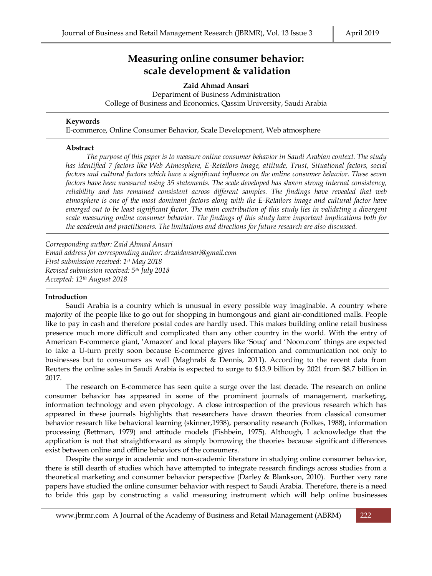# **Measuring online consumer behavior: scale development & validation**

**Zaid Ahmad Ansari** Department of Business Administration College of Business and Economics, Qassim University, Saudi Arabia

#### **Keywords**

E-commerce, Online Consumer Behavior, Scale Development, Web atmosphere

#### **Abstract**

*The purpose of this paper is to measure online consumer behavior in Saudi Arabian context. The study has identified 7 factors like Web Atmosphere, E-Retailors Image, attitude, Trust, Situational factors, social factors and cultural factors which have a significant influence on the online consumer behavior. These seven factors have been measured using 35 statements. The scale developed has shown strong internal consistency, reliability and has remained consistent across different samples. The findings have revealed that web atmosphere is one of the most dominant factors along with the E-Retailors image and cultural factor have emerged out to be least significant factor. The main contribution of this study lies in validating a divergent scale measuring online consumer behavior. The findings of this study have important implications both for the academia and practitioners. The limitations and directions for future research are also discussed.*

*Corresponding author: Zaid Ahmad Ansari Email address for corresponding author: [drzaidansari@gmail.com](mailto:drzaidansari@gmail.com) First submission received: 1st May 2018 Revised submission received: 5th July 2018 Accepted: 12th August 2018*

## **Introduction**

Saudi Arabia is a country which is unusual in every possible way imaginable. A country where majority of the people like to go out for shopping in humongous and giant air-conditioned malls. People like to pay in cash and therefore postal codes are hardly used. This makes building online retail business presence much more difficult and complicated than any other country in the world. With the entry of American E-commerce giant, 'Amazon' and local players like 'Souq' and 'Noon.com' things are expected to take a U-turn pretty soon because E-commerce gives information and communication not only to businesses but to consumers as well (Maghrabi & Dennis, 2011). According to the recent data from Reuters the online sales in Saudi Arabia is expected to surge to \$13.9 billion by 2021 from \$8.7 billion in 2017.

The research on E-commerce has seen quite a surge over the last decade. The research on online consumer behavior has appeared in some of the prominent journals of management, marketing, information technology and even phycology. A close introspection of the previous research which has appeared in these journals highlights that researchers have drawn theories from classical consumer behavior research like behavioral learning (skinner,1938), personality research (Folkes, 1988), information processing (Bettman, 1979) and attitude models (Fishbein, 1975). Although, I acknowledge that the application is not that straightforward as simply borrowing the theories because significant differences exist between online and offline behaviors of the consumers.

Despite the surge in academic and non-academic literature in studying online consumer behavior, there is still dearth of studies which have attempted to integrate research findings across studies from a theoretical marketing and consumer behavior perspective (Darley & Blankson, 2010). Further very rare papers have studied the online consumer behavior with respect to Saudi Arabia. Therefore, there is a need to bride this gap by constructing a valid measuring instrument which will help online businesses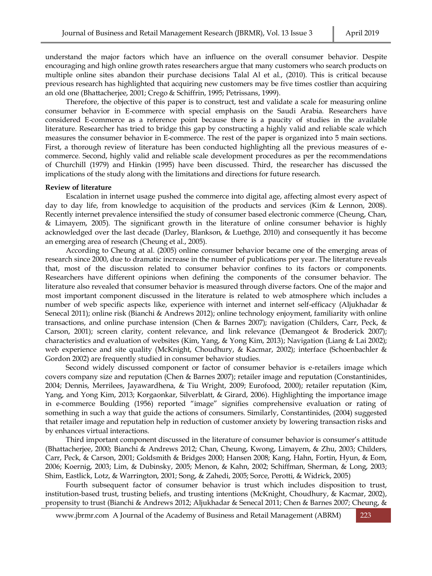understand the major factors which have an influence on the overall consumer behavior. Despite encouraging and high online growth rates researchers argue that many customers who search products on multiple online sites abandon their purchase decisions Talal Al et al., (2010). This is critical because previous research has highlighted that acquiring new customers may be five times costlier than acquiring an old one (Bhattacherjee, 2001; Crego & Schiffrin, 1995; Petrissans, 1999).

Therefore, the objective of this paper is to construct, test and validate a scale for measuring online consumer behavior in E-commerce with special emphasis on the Saudi Arabia. Researchers have considered E-commerce as a reference point because there is a paucity of studies in the available literature. Researcher has tried to bridge this gap by constructing a highly valid and reliable scale which measures the consumer behavior in E-commerce. The rest of the paper is organized into 5 main sections. First, a thorough review of literature has been conducted highlighting all the previous measures of ecommerce. Second, highly valid and reliable scale development procedures as per the recommendations of Churchill (1979) and Hinkin (1995) have been discussed. Third, the researcher has discussed the implications of the study along with the limitations and directions for future research.

#### **Review of literature**

Escalation in internet usage pushed the commerce into digital age, affecting almost every aspect of day to day life, from knowledge to acquisition of the products and services (Kim & Lennon, 2008). Recently internet prevalence intensified the study of consumer based electronic commerce (Cheung, Chan, & Limayem, 2005). The significant growth in the literature of online consumer behavior is highly acknowledged over the last decade (Darley, Blankson, & Luethge, 2010) and consequently it has become an emerging area of research (Cheung et al., 2005).

According to Cheung at al. (2005) online consumer behavior became one of the emerging areas of research since 2000, due to dramatic increase in the number of publications per year. The literature reveals that, most of the discussion related to consumer behavior confines to its factors or components. Researchers have different opinions when defining the components of the consumer behavior. The literature also revealed that consumer behavior is measured through diverse factors. One of the major and most important component discussed in the literature is related to web atmosphere which includes a number of web specific aspects like, experience with internet and internet self-efficacy (Aljukhadar & Senecal 2011); online risk (Bianchi & Andrews 2012); online technology enjoyment, familiarity with online transactions, and online purchase intension (Chen & Barnes 2007); navigation (Childers, Carr, Peck, & Carson, 2001); screen clarity, content relevance, and link relevance (Demangeot & Broderick 2007); characteristics and evaluation of websites (Kim, Yang, & Yong Kim, 2013); Navigation (Liang & Lai 2002); web experience and site quality (McKnight, Choudhury, & Kacmar, 2002); interface (Schoenbachler & Gordon 2002) are frequently studied in consumer behavior studies.

Second widely discussed component or factor of consumer behavior is e-retailers image which covers company size and reputation (Chen & Barnes 2007); retailer image and reputation (Constantinides, 2004; Dennis, Merrilees, Jayawardhena, & Tiu Wright, 2009; Eurofood, 2000); retailer reputation (Kim, Yang, and Yong Kim, 2013; Korgaonkar, Silverblatt, & Girard, 2006). Highlighting the importance image in e-commerce Boulding (1956) reported "image" signifies comprehensive evaluation or rating of something in such a way that guide the actions of consumers. Similarly, Constantinides, (2004) suggested that retailer image and reputation help in reduction of customer anxiety by lowering transaction risks and by enhances virtual interactions.

Third important component discussed in the literature of consumer behavior is consumer's attitude (Bhattacherjee, 2000; Bianchi & Andrews 2012; Chan, Cheung, Kwong, Limayem, & Zhu, 2003; Childers, Carr, Peck, & Carson, 2001; Goldsmith & Bridges 2000; Hansen 2008; Kang, Hahn, Fortin, Hyun, & Eom, 2006; Koernig, 2003; Lim, & Dubinsky, 2005; Menon, & Kahn, 2002; Schiffman, Sherman, & Long, 2003; Shim, Eastlick, Lotz, & Warrington, 2001; Song, & Zahedi, 2005; Sorce, Perotti, & Widrick, 2005)

Fourth subsequent factor of consumer behavior is trust which includes disposition to trust, institution-based trust, trusting beliefs, and trusting intentions (McKnight, Choudhury, & Kacmar, 2002), propensity to trust (Bianchi & Andrews 2012; Aljukhadar & Senecal 2011; Chen & Barnes 2007; Cheung, &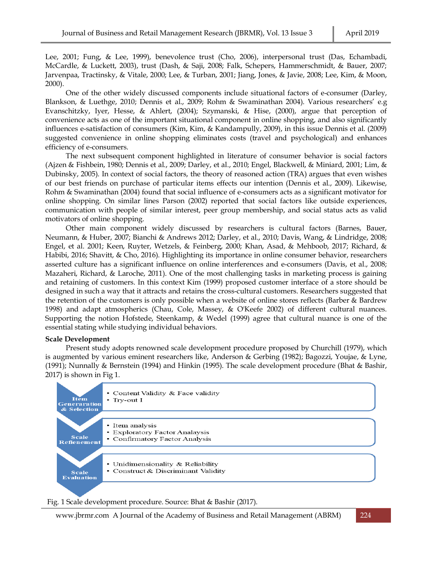Lee, 2001; Fung, & Lee, 1999), benevolence trust (Cho, 2006), interpersonal trust (Das, Echambadi, McCardle, & Luckett, 2003), trust (Dash, & Saji, 2008; Falk, Schepers, Hammerschmidt, & Bauer, 2007; Jarvenpaa, Tractinsky, & Vitale, 2000; Lee, & Turban, 2001; Jiang, Jones, & Javie, 2008; Lee, Kim, & Moon, 2000).

One of the other widely discussed components include situational factors of e-consumer (Darley, Blankson, & Luethge, 2010; Dennis et al., 2009; Rohm & Swaminathan 2004). Various researchers' e.g Evanschitzky, Iyer, Hesse, & Ahlert, (2004); Szymanski, & Hise, (2000), argue that perception of convenience acts as one of the important situational component in online shopping, and also significantly influences e-satisfaction of consumers (Kim, Kim, & Kandampully, 2009), in this issue Dennis et al. (2009) suggested convenience in online shopping eliminates costs (travel and psychological) and enhances efficiency of e-consumers.

The next subsequent component highlighted in literature of consumer behavior is social factors (Ajzen & Fishbein, 1980; Dennis et al., 2009; Darley, et al., 2010; Engel, Blackwell, & Miniard, 2001; Lim, & Dubinsky, 2005). In context of social factors, the theory of reasoned action (TRA) argues that even wishes of our best friends on purchase of particular items effects our intention (Dennis et al., 2009). Likewise, Rohm & Swaminathan (2004) found that social influence of e-consumers acts as a significant motivator for online shopping. On similar lines Parson (2002) reported that social factors like outside experiences, communication with people of similar interest, peer group membership, and social status acts as valid motivators of online shopping.

Other main component widely discussed by researchers is cultural factors (Barnes, Bauer, Neumann, & Huber, 2007; Bianchi & Andrews 2012; Darley, et al., 2010; Davis, Wang, & Lindridge, 2008; Engel, et al. 2001; Keen, Ruyter, Wetzels, & Feinberg, 2000; Khan, Asad, & Mehboob, 2017; Richard, & Habibi, 2016; Shavitt, & Cho, 2016). Highlighting its importance in online consumer behavior, researchers asserted culture has a significant influence on online interferences and e-consumers (Davis, et al., 2008; Mazaheri, Richard, & Laroche, 2011). One of the most challenging tasks in marketing process is gaining and retaining of customers. In this context Kim (1999) proposed customer interface of a store should be designed in such a way that it attracts and retains the cross-cultural customers. Researchers suggested that the retention of the customers is only possible when a website of online stores reflects (Barber & Bardrew 1998) and adapt atmospherics (Chau, Cole, Massey, & O'Keefe 2002) of different cultural nuances. Supporting the notion Hofstede, Steenkamp, & Wedel (1999) agree that cultural nuance is one of the essential stating while studying individual behaviors.

#### **Scale Development**

Present study adopts renowned scale development procedure proposed by Churchill (1979), which is augmented by various eminent researchers like, Anderson & Gerbing (1982); Bagozzi, Youjae, & Lyne, (1991); Nunnally & Bernstein (1994) and Hinkin (1995). The scale development procedure (Bhat & Bashir, 2017) is shown in Fig 1.



Fig. 1 Scale development procedure. Source: Bhat & Bashir (2017).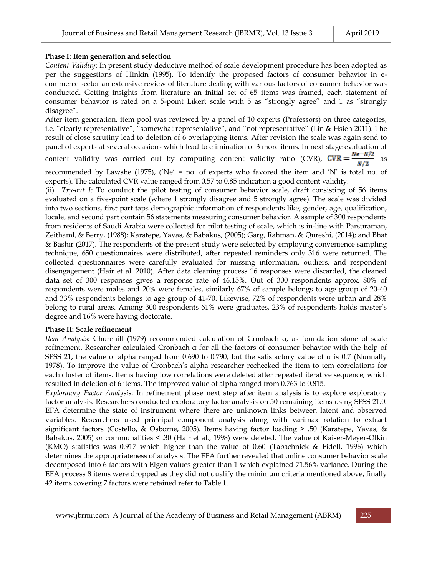# **Phase I: Item generation and selection**

*Content Validity*: In present study deductive method of scale development procedure has been adopted as per the suggestions of Hinkin (1995). To identify the proposed factors of consumer behavior in ecommerce sector an extensive review of literature dealing with various factors of consumer behavior was conducted. Getting insights from literature an initial set of 65 items was framed, each statement of consumer behavior is rated on a 5-point Likert scale with 5 as "strongly agree" and 1 as "strongly disagree".

After item generation, item pool was reviewed by a panel of 10 experts (Professors) on three categories, i.e. "clearly representative", "somewhat representative", and "not representative" (Lin & Hsieh 2011). The result of close scrutiny lead to deletion of 6 overlapping items. After revision the scale was again send to panel of experts at several occasions which lead to elimination of 3 more items. In next stage evaluation of

content validity was carried out by computing content validity ratio (CVR),  $\frac{N\epsilon - N/2}{N/2}$  as

recommended by Lawshe (1975), ('Ne' = no. of experts who favored the item and 'N' is total no. of experts). The calculated CVR value ranged from 0.57 to 0.85 indication a good content validity.

(ii) *Try-out I:* To conduct the pilot testing of consumer behavior scale, draft consisting of 56 items evaluated on a five-point scale (where 1 strongly disagree and 5 strongly agree). The scale was divided into two sections, first part taps demographic information of respondents like; gender, age, qualification, locale, and second part contain 56 statements measuring consumer behavior. A sample of 300 respondents from residents of Saudi Arabia were collected for pilot testing of scale, which is in-line with Parsuraman, Zeithaml, & Berry, (1988); Karatepe, Yavas, & Babakus, (2005); Garg, Rahman, & Qureshi, (2014); and Bhat & Bashir (2017). The respondents of the present study were selected by employing convenience sampling technique, 650 questionnaires were distributed, after repeated reminders only 316 were returned. The collected questionnaires were carefully evaluated for missing information, outliers, and respondent disengagement (Hair et al. 2010). After data cleaning process 16 responses were discarded, the cleaned data set of 300 responses gives a response rate of 46.15%. Out of 300 respondents approx. 80% of respondents were males and 20% were females, similarly 67% of sample belongs to age group of 20-40 and 33% respondents belongs to age group of 41-70. Likewise, 72% of respondents were urban and 28% belong to rural areas. Among 300 respondents 61% were graduates, 23% of respondents holds master's degree and 16% were having doctorate.

#### **Phase II: Scale refinement**

*Item Analysis*: Churchill (1979) recommended calculation of Cronbach α, as foundation stone of scale refinement. Researcher calculated Cronbach α for all the factors of consumer behavior with the help of SPSS 21, the value of alpha ranged from 0.690 to 0.790, but the satisfactory value of  $\alpha$  is 0.7 (Nunnally 1978). To improve the value of Cronbach's alpha researcher rechecked the item to tem correlations for each cluster of items. Items having low correlations were deleted after repeated iterative sequence, which resulted in deletion of 6 items. The improved value of alpha ranged from 0.763 to 0.815.

*Exploratory Factor Analysis*: In refinement phase next step after item analysis is to explore exploratory factor analysis. Researchers conducted exploratory factor analysis on 50 remaining items using SPSS 21.0. EFA determine the state of instrument where there are unknown links between latent and observed variables. Researchers used principal component analysis along with varimax rotation to extract significant factors (Costello, & Osborne, 2005). Items having factor loading > .50 (Karatepe, Yavas, & Babakus, 2005) or communalities < .30 (Hair et al., 1998) were deleted. The value of Kaiser-Meyer-Olkin (KMO) statistics was 0.917 which higher than the value of 0.60 (Tabachnick & Fidell, 1996) which determines the appropriateness of analysis. The EFA further revealed that online consumer behavior scale decomposed into 6 factors with Eigen values greater than 1 which explained 71.56% variance. During the EFA process 8 items were dropped as they did not qualify the minimum criteria mentioned above, finally 42 items covering 7 factors were retained refer to Table 1.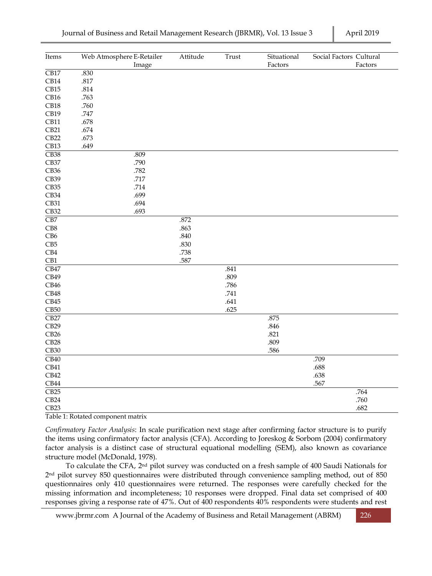| Items             | Web Atmosphere E-Retailer<br>Image | Attitude | Trust | Situational<br>Factors | Social Factors Cultural<br>Factors |
|-------------------|------------------------------------|----------|-------|------------------------|------------------------------------|
| $\overline{CB17}$ | .830                               |          |       |                        |                                    |
| CB14              | $.817\,$                           |          |       |                        |                                    |
| CB15              | $.814\,$                           |          |       |                        |                                    |
| CB16              | .763                               |          |       |                        |                                    |
| CB18              | .760                               |          |       |                        |                                    |
| CB19              | .747                               |          |       |                        |                                    |
| CB11              | .678                               |          |       |                        |                                    |
| CB21              | $.674\,$                           |          |       |                        |                                    |
| CB22              | .673                               |          |       |                        |                                    |
| CB13              | .649                               |          |       |                        |                                    |
| CB38              | .809                               |          |       |                        |                                    |
| CB37              | .790                               |          |       |                        |                                    |
| CB36              | .782                               |          |       |                        |                                    |
| CB39              | .717                               |          |       |                        |                                    |
| CB35              | .714                               |          |       |                        |                                    |
| $\mathrm{CB}34$   | .699                               |          |       |                        |                                    |
| CB31              | .694                               |          |       |                        |                                    |
| CB32              | .693                               |          |       |                        |                                    |
| $\overline{CB7}$  |                                    | .872     |       |                        |                                    |
| CB8               |                                    | .863     |       |                        |                                    |
| CB6               |                                    | .840     |       |                        |                                    |
| CB5               |                                    | .830     |       |                        |                                    |
| CB4               |                                    | .738     |       |                        |                                    |
| CB1               |                                    | .587     |       |                        |                                    |
| CB47              |                                    |          | .841  |                        |                                    |
| CB49              |                                    |          | .809  |                        |                                    |
| CB46              |                                    |          | .786  |                        |                                    |
| CB48              |                                    |          | .741  |                        |                                    |
| CB45              |                                    |          | .641  |                        |                                    |
| CB50              |                                    |          | .625  |                        |                                    |
| $\overline{CB27}$ |                                    |          |       | .875                   |                                    |
| CB29              |                                    |          |       | .846                   |                                    |
| CB26              |                                    |          |       | .821                   |                                    |
| CB28              |                                    |          |       | .809                   |                                    |
| CB30              |                                    |          |       | .586                   |                                    |
| CB40              |                                    |          |       |                        | .709                               |
| CB41              |                                    |          |       |                        | .688                               |
| CB42              |                                    |          |       |                        | .638                               |
| CB44              |                                    |          |       |                        | .567                               |
| CB25              |                                    |          |       |                        | .764                               |
| CB24              |                                    |          |       |                        | .760                               |
| CB23              |                                    |          |       |                        | .682                               |

Table 1: Rotated component matrix

*Confirmatory Factor Analysis*: In scale purification next stage after confirming factor structure is to purify the items using confirmatory factor analysis (CFA). According to Joreskog & Sorbom (2004) confirmatory factor analysis is a distinct case of structural equational modelling (SEM), also known as covariance structure model (McDonald, 1978).

To calculate the CFA, 2nd pilot survey was conducted on a fresh sample of 400 Saudi Nationals for 2nd pilot survey 850 questionnaires were distributed through convenience sampling method, out of 850 questionnaires only 410 questionnaires were returned. The responses were carefully checked for the missing information and incompleteness; 10 responses were dropped. Final data set comprised of 400 responses giving a response rate of 47%. Out of 400 respondents 40% respondents were students and rest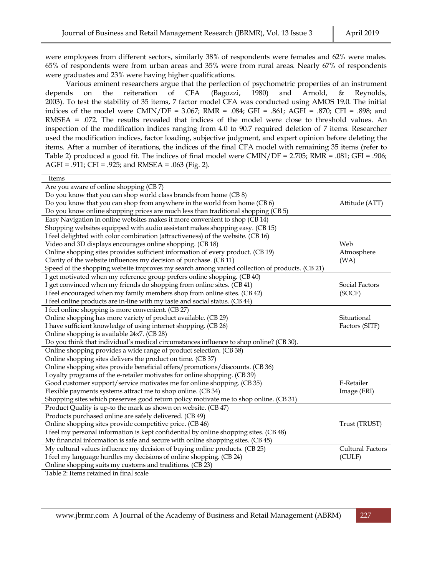were employees from different sectors, similarly 38% of respondents were females and 62% were males. 65% of respondents were from urban areas and 35% were from rural areas. Nearly 67% of respondents were graduates and 23% were having higher qualifications.

Various eminent researchers argue that the perfection of psychometric properties of an instrument depends on the reiteration of CFA (Bagozzi, 1980) and Arnold, & Reynolds, 2003). To test the stability of 35 items, 7 factor model CFA was conducted using AMOS 19.0. The initial indices of the model were CMIN/DF =  $3.067$ ; RMR =  $.084$ ; GFI =  $.861$ ; AGFI =  $.870$ ; CFI =  $.898$ ; and RMSEA = .072. The results revealed that indices of the model were close to threshold values. An inspection of the modification indices ranging from 4.0 to 90.7 required deletion of 7 items. Researcher used the modification indices, factor loading, subjective judgment, and expert opinion before deleting the items. After a number of iterations, the indices of the final CFA model with remaining 35 items (refer to Table 2) produced a good fit. The indices of final model were  $CMIN/DF = 2.705$ ;  $RMR = .081$ ; GFI = .906; AGFI = .911; CFI = .925; and RMSEA = .063 (Fig. 2).

| Items                                                                                         |                         |
|-----------------------------------------------------------------------------------------------|-------------------------|
| Are you aware of online shopping (CB7)                                                        |                         |
| Do you know that you can shop world class brands from home (CB 8)                             |                         |
| Do you know that you can shop from anywhere in the world from home (CB 6)                     | Attitude (ATT)          |
| Do you know online shopping prices are much less than traditional shopping (CB 5)             |                         |
| Easy Navigation in online websites makes it more convenient to shop (CB 14)                   |                         |
| Shopping websites equipped with audio assistant makes shopping easy. (CB 15)                  |                         |
| I feel delighted with color combination (attractiveness) of the website. (CB 16)              |                         |
| Video and 3D displays encourages online shopping. (CB 18)                                     | Web                     |
| Online shopping sites provides sufficient information of every product. (CB 19)               | Atmosphere              |
| Clarity of the website influences my decision of purchase. (CB 11)                            | (WA)                    |
| Speed of the shopping website improves my search among varied collection of products. (CB 21) |                         |
| I get motivated when my reference group prefers online shopping. (CB 40)                      |                         |
| I get convinced when my friends do shopping from online sites. (CB 41)                        | Social Factors          |
| I feel encouraged when my family members shop from online sites. (CB 42)                      | (SOCF)                  |
| I feel online products are in-line with my taste and social status. (CB 44)                   |                         |
| I feel online shopping is more convenient. (CB 27)                                            |                         |
| Online shopping has more variety of product available. (CB 29)                                | Situational             |
| I have sufficient knowledge of using internet shopping. (CB 26)                               | Factors (SITF)          |
| Online shopping is available 24x7. (CB 28)                                                    |                         |
| Do you think that individual's medical circumstances influence to shop online? (CB 30).       |                         |
| Online shopping provides a wide range of product selection. (CB 38)                           |                         |
| Online shopping sites delivers the product on time. (CB 37)                                   |                         |
| Online shopping sites provide beneficial offers/promotions/discounts. (CB 36)                 |                         |
| Loyalty programs of the e-retailer motivates for online shopping. (CB 39)                     |                         |
| Good customer support/service motivates me for online shopping. (CB 35)                       | E-Retailer              |
| Flexible payments systems attract me to shop online. (CB 34)                                  | Image (ERI)             |
| Shopping sites which preserves good return policy motivate me to shop online. (CB 31)         |                         |
| Product Quality is up-to the mark as shown on website. (CB 47)                                |                         |
| Products purchased online are safely delivered. (CB 49)                                       |                         |
| Online shopping sites provide competitive price. (CB 46)                                      | Trust (TRUST)           |
| I feel my personal information is kept confidential by online shopping sites. (CB 48)         |                         |
| My financial information is safe and secure with online shopping sites. (CB 45)               |                         |
| My cultural values influence my decision of buying online products. (CB 25)                   | <b>Cultural Factors</b> |
| I feel my language hurdles my decisions of online shopping. (CB 24)                           | (CULF)                  |
| Online shopping suits my customs and traditions. (CB 23)                                      |                         |
| Tabla 7: Itame ratainad in final ecala                                                        |                         |

Table 2: Items retained in final scale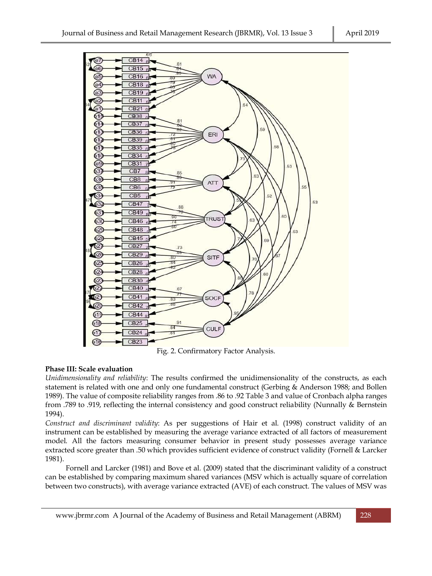

Fig. 2. Confirmatory Factor Analysis.

# **Phase III: Scale evaluation**

*Unidimensionality and reliability*: The results confirmed the unidimensionality of the constructs, as each statement is related with one and only one fundamental construct (Gerbing & Anderson 1988; and Bollen 1989). The value of composite reliability ranges from .86 to .92 Table 3 and value of Cronbach alpha ranges from .789 to .919, reflecting the internal consistency and good construct reliability (Nunnally & Bernstein 1994).

*Construct and discriminant validity*: As per suggestions of Hair et al. (1998) construct validity of an instrument can be established by measuring the average variance extracted of all factors of measurement model. All the factors measuring consumer behavior in present study possesses average variance extracted score greater than .50 which provides sufficient evidence of construct validity (Fornell & Larcker 1981).

Fornell and Larcker (1981) and Bove et al. (2009) stated that the discriminant validity of a construct can be established by comparing maximum shared variances (MSV which is actually square of correlation between two constructs), with average variance extracted (AVE) of each construct. The values of MSV was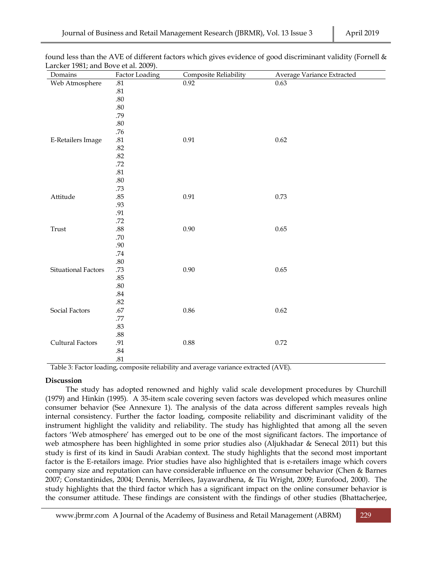| Domains                 | Factor Loading | Composite Reliability | Average Variance Extracted |
|-------------------------|----------------|-----------------------|----------------------------|
| Web Atmosphere          | $.81\,$        | 0.92                  | 0.63                       |
|                         | $.81\,$        |                       |                            |
|                         | $.80\,$        |                       |                            |
|                         | $.80\,$        |                       |                            |
|                         | .79            |                       |                            |
|                         | $.80\,$        |                       |                            |
|                         | .76            |                       |                            |
| E-Retailers Image       | $.81\,$        | 0.91                  | 0.62                       |
|                         | .82            |                       |                            |
|                         | $.82\,$        |                       |                            |
|                         | $.72\,$        |                       |                            |
|                         | $.81\,$        |                       |                            |
|                         | $.80\,$        |                       |                            |
|                         | .73            |                       |                            |
| Attitude                | $.85\,$        | $0.91\,$              | 0.73                       |
|                         | .93            |                       |                            |
|                         | $.91\,$        |                       |                            |
|                         | .72            |                       |                            |
| $\operatorname{Trust}$  | $.88\,$        | 0.90                  | 0.65                       |
|                         | $.70\,$        |                       |                            |
|                         | $.90\,$        |                       |                            |
|                         | $.74\,$        |                       |                            |
|                         | $.80\,$        |                       |                            |
| Situational Factors     | .73            | 0.90                  | 0.65                       |
|                         | .85            |                       |                            |
|                         | $.80\,$        |                       |                            |
|                         | $.84\,$        |                       |                            |
|                         | $.82\,$        |                       |                            |
| Social Factors          | $.67\,$        | $0.86\,$              | 0.62                       |
|                         | .77            |                       |                            |
|                         | $.83\,$        |                       |                            |
|                         | $.88\,$        |                       |                            |
| <b>Cultural Factors</b> | $.91\,$        | 0.88                  | 0.72                       |
|                         | $.84\,$        |                       |                            |
|                         | .81            |                       |                            |

found less than the AVE of different factors which gives evidence of good discriminant validity (Fornell & Larcker 1981; and Bove et al. 2009).

Table 3: Factor loading, composite reliability and average variance extracted (AVE).

#### **Discussion**

The study has adopted renowned and highly valid scale development procedures by Churchill (1979) and Hinkin (1995). A 35-item scale covering seven factors was developed which measures online consumer behavior (See Annexure 1). The analysis of the data across different samples reveals high internal consistency. Further the factor loading, composite reliability and discriminant validity of the instrument highlight the validity and reliability. The study has highlighted that among all the seven factors 'Web atmosphere' has emerged out to be one of the most significant factors. The importance of web atmosphere has been highlighted in some prior studies also (Aljukhadar & Senecal 2011) but this study is first of its kind in Saudi Arabian context. The study highlights that the second most important factor is the E-retailors image. Prior studies have also highlighted that is e-retailers image which covers company size and reputation can have considerable influence on the consumer behavior (Chen & Barnes 2007; Constantinides, 2004; Dennis, Merrilees, Jayawardhena, & Tiu Wright, 2009; Eurofood, 2000). The study highlights that the third factor which has a significant impact on the online consumer behavior is the consumer attitude. These findings are consistent with the findings of other studies (Bhattacherjee,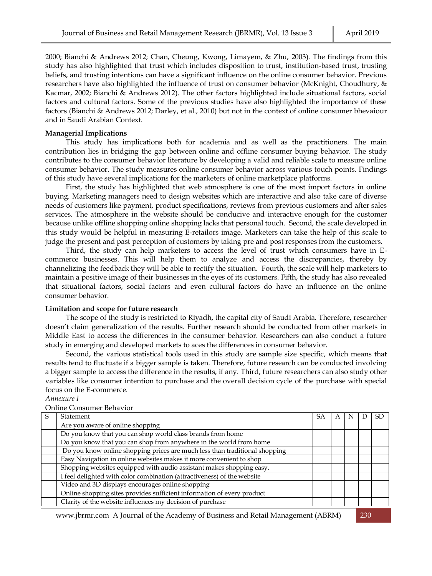2000; Bianchi & Andrews 2012; Chan, Cheung, Kwong, Limayem, & Zhu, 2003). The findings from this study has also highlighted that trust which includes disposition to trust, institution-based trust, trusting beliefs, and trusting intentions can have a significant influence on the online consumer behavior. Previous researchers have also highlighted the influence of trust on consumer behavior (McKnight, Choudhury, & Kacmar, 2002; Bianchi & Andrews 2012). The other factors highlighted include situational factors, social factors and cultural factors. Some of the previous studies have also highlighted the importance of these factors (Bianchi & Andrews 2012; Darley, et al., 2010) but not in the context of online consumer bhevaiour and in Saudi Arabian Context.

#### **Managerial Implications**

This study has implications both for academia and as well as the practitioners. The main contribution lies in bridging the gap between online and offline consumer buying behavior. The study contributes to the consumer behavior literature by developing a valid and reliable scale to measure online consumer behavior. The study measures online consumer behavior across various touch points. Findings of this study have several implications for the marketers of online marketplace platforms.

First, the study has highlighted that web atmosphere is one of the most import factors in online buying. Marketing managers need to design websites which are interactive and also take care of diverse needs of customers like payment, product specifications, reviews from previous customers and after sales services. The atmosphere in the website should be conducive and interactive enough for the customer because unlike offline shopping online shopping lacks that personal touch. Second, the scale developed in this study would be helpful in measuring E-retailors image. Marketers can take the help of this scale to judge the present and past perception of customers by taking pre and post responses from the customers.

Third, the study can help marketers to access the level of trust which consumers have in Ecommerce businesses. This will help them to analyze and access the discrepancies, thereby by channelizing the feedback they will be able to rectify the situation. Fourth, the scale will help marketers to maintain a positive image of their businesses in the eyes of its customers. Fifth, the study has also revealed that situational factors, social factors and even cultural factors do have an influence on the online consumer behavior.

#### **Limitation and scope for future research**

The scope of the study is restricted to Riyadh, the capital city of Saudi Arabia. Therefore, researcher doesn't claim generalization of the results. Further research should be conducted from other markets in Middle East to access the differences in the consumer behavior. Researchers can also conduct a future study in emerging and developed markets to aces the differences in consumer behavior.

Second, the various statistical tools used in this study are sample size specific, which means that results tend to fluctuate if a bigger sample is taken. Therefore, future research can be conducted involving a bigger sample to access the difference in the results, if any. Third, future researchers can also study other variables like consumer intention to purchase and the overall decision cycle of the purchase with special focus on the E-commerce.

*Annexure I*

| S | Statement                                                                  | SA | A |  | SD. |
|---|----------------------------------------------------------------------------|----|---|--|-----|
|   | Are you aware of online shopping                                           |    |   |  |     |
|   | Do you know that you can shop world class brands from home                 |    |   |  |     |
|   | Do you know that you can shop from anywhere in the world from home         |    |   |  |     |
|   | Do you know online shopping prices are much less than traditional shopping |    |   |  |     |
|   | Easy Navigation in online websites makes it more convenient to shop        |    |   |  |     |
|   | Shopping websites equipped with audio assistant makes shopping easy.       |    |   |  |     |
|   | I feel delighted with color combination (attractiveness) of the website    |    |   |  |     |
|   | Video and 3D displays encourages online shopping                           |    |   |  |     |
|   | Online shopping sites provides sufficient information of every product     |    |   |  |     |
|   | Clarity of the website influences my decision of purchase                  |    |   |  |     |
|   |                                                                            |    |   |  |     |

Online Consumer Behavior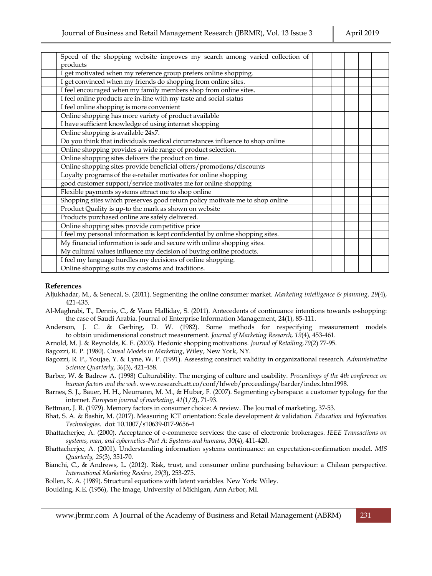| Speed of the shopping website improves my search among varied collection of   |  |  |
|-------------------------------------------------------------------------------|--|--|
| products                                                                      |  |  |
| I get motivated when my reference group prefers online shopping.              |  |  |
| I get convinced when my friends do shopping from online sites.                |  |  |
| I feel encouraged when my family members shop from online sites.              |  |  |
| I feel online products are in-line with my taste and social status            |  |  |
| I feel online shopping is more convenient                                     |  |  |
| Online shopping has more variety of product available                         |  |  |
| I have sufficient knowledge of using internet shopping                        |  |  |
| Online shopping is available 24x7.                                            |  |  |
| Do you think that individuals medical circumstances influence to shop online  |  |  |
| Online shopping provides a wide range of product selection.                   |  |  |
| Online shopping sites delivers the product on time.                           |  |  |
| Online shopping sites provide beneficial offers/promotions/discounts          |  |  |
| Loyalty programs of the e-retailer motivates for online shopping              |  |  |
| good customer support/service motivates me for online shopping                |  |  |
| Flexible payments systems attract me to shop online                           |  |  |
| Shopping sites which preserves good return policy motivate me to shop online  |  |  |
| Product Quality is up-to the mark as shown on website                         |  |  |
| Products purchased online are safely delivered.                               |  |  |
| Online shopping sites provide competitive price                               |  |  |
| I feel my personal information is kept confidential by online shopping sites. |  |  |
| My financial information is safe and secure with online shopping sites.       |  |  |
| My cultural values influence my decision of buying online products.           |  |  |
| I feel my language hurdles my decisions of online shopping.                   |  |  |
| Online shopping suits my customs and traditions.                              |  |  |

### **References**

- Aljukhadar, M., & Senecal, S. (2011). Segmenting the online consumer market. *Marketing intelligence & planning*, *29*(4), 421-435.
- Al-Maghrabi, T., Dennis, C., & Vaux Halliday, S. (2011). Antecedents of continuance intentions towards e-shopping: the case of Saudi Arabia. Journal of Enterprise Information Management, 24(1), 85-111.
- Anderson, J. C. & Gerbing, D. W. (1982). Some methods for respecifying measurement models to obtain unidimensional construct measurement. *Journal of Marketing Research, 19*(4), 453-461.
- Arnold, M. J. & Reynolds, K. E. (2003). Hedonic shopping motivations. *Journal of Retailing,79*(2) 77-95.
- Bagozzi, R. P. (1980). *Causal Models in Marketing*, Wiley, New York, NY.
- Bagozzi, R. P., Youjae, Y. & Lyne, W. P. (1991). Assessing construct validity in organizational research. *Administrative Science Quarterly, 36*(3), 421-458.
- Barber, W. & Badrew A. (1998) Culturability. The merging of culture and usability. *Proceedings of the 4th conference on human factors and the web*[. www.research.att.co/conf/hfweb/proceedings/barder/index.htm1998.](http://www.research.att.co/conf/hfweb/proceedings/barder/index.htm1998)
- Barnes, S. J., Bauer, H. H., Neumann, M. M., & Huber, F. (2007). Segmenting cyberspace: a customer typology for the internet. *European journal of marketing*, *41*(1/2), 71-93.
- Bettman, J. R. (1979). Memory factors in consumer choice: A review. The Journal of marketing, 37-53.
- Bhat, S. A. & Bashir, M. (2017). Measuring ICT orientation: Scale development & validation. *Education and Information Technologies.* doi: 10.1007/s10639-017-9656-4
- Bhattacherjee, A. (2000). Acceptance of e-commerce services: the case of electronic brokerages. *IEEE Transactions on systems, man, and cybernetics-Part A: Systems and humans*, *30*(4), 411-420.
- Bhattacherjee, A. (2001). Understanding information systems continuance: an expectation-confirmation model. *MIS Quarterly, 25*(3), 351-70.
- Bianchi, C., & Andrews, L. (2012). Risk, trust, and consumer online purchasing behaviour: a Chilean perspective. *International Marketing Review*, *29*(3), 253-275.
- Bollen, K. A. (1989). Structural equations with latent variables. New York: Wiley.
- Boulding, K.E. (1956), The Image, University of Michigan, Ann Arbor, MI.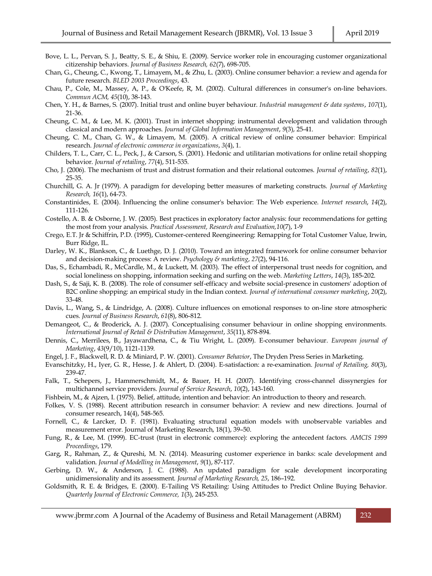- Bove, L. L., Pervan, S. J., Beatty, S. E., & Shiu, E. (2009). Service worker role in encouraging customer organizational citizenship behaviors. *Journal of Business Research, 62*(7), 698-705.
- Chan, G., Cheung, C., Kwong, T., Limayem, M., & Zhu, L. (2003). Online consumer behavior: a review and agenda for future research. *BLED 2003 Proceedings*, 43.
- Chau, P., Cole, M., Massey, A, P., & O'Keefe, R, M. (2002). Cultural differences in consumer's on-line behaviors. *Commun ACM, 45*(10), 38-143.
- Chen, Y. H., & Barnes, S. (2007). Initial trust and online buyer behaviour. *Industrial management & data systems*, *107*(1), 21-36.
- Cheung, C. M., & Lee, M. K. (2001). Trust in internet shopping: instrumental development and validation through classical and modern approaches. *Journal of Global Information Management*, *9*(3), 25-41.
- Cheung, C. M., Chan, G. W., & Limayem, M. (2005). A critical review of online consumer behavior: Empirical research. *Journal of electronic commerce in organizations*, *3*(4), 1.
- Childers, T. L., Carr, C. L., Peck, J., & Carson, S. (2001). Hedonic and utilitarian motivations for online retail shopping behavior. *Journal of retailing*, *77*(4), 511-535.
- Cho, J. (2006). The mechanism of trust and distrust formation and their relational outcomes. *Journal of retailing*, *82*(1), 25-35.
- Churchill, G. A. Jr (1979). A paradigm for developing better measures of marketing constructs. *Journal of Marketing Research, 16*(1), 64-73.
- Constantinides, E. (2004). Influencing the online consumer's behavior: The Web experience. *Internet research*, *14*(2), 111-126.
- Costello, A. B. & Osborne, J. W. (2005). Best practices in exploratory factor analysis: four recommendations for getting the most from your analysis. *Practical Assessment, Research and Evaluation,10*(7), 1-9
- Crego, E.T. Jr & Schiffrin, P.D. (1995), Customer-centered Reengineering: Remapping for Total Customer Value, Irwin, Burr Ridge, IL.
- Darley, W. K., Blankson, C., & Luethge, D. J. (2010). Toward an integrated framework for online consumer behavior and decision-making process: A review. *Psychology & marketing*, *27*(2), 94-116.
- Das, S., Echambadi, R., McCardle, M., & Luckett, M. (2003). The effect of interpersonal trust needs for cognition, and social loneliness on shopping, information seeking and surfing on the web. *Marketing Letters*, *14*(3), 185-202.
- Dash, S., & Saji, K. B. (2008). The role of consumer self-efficacy and website social-presence in customers' adoption of B2C online shopping: an empirical study in the Indian context. *Journal of international consumer marketing*, *20*(2), 33-48.
- Davis, L., Wang, S., & Lindridge, A. (2008). Culture influences on emotional responses to on-line store atmospheric cues. *Journal of Business Research*, *61*(8), 806-812.
- Demangeot, C., & Broderick, A. J. (2007). Conceptualising consumer behaviour in online shopping environments. *International Journal of Retail & Distribution Management*, *35*(11), 878-894.
- Dennis, C., Merrilees, B., Jayawardhena, C., & Tiu Wright, L. (2009). E-consumer behaviour. *European journal of Marketing*, *43*(9/10), 1121-1139.
- Engel, J. F., Blackwell, R. D. & Miniard, P. W. (2001). *Consumer Behavior*, The Dryden Press Series in Marketing.
- Evanschitzky, H., Iyer, G. R., Hesse, J. & Ahlert, D. (2004). E-satisfaction: a re-examination. *Journal of Retailing, 80*(3), 239-47.
- Falk, T., Schepers, J., Hammerschmidt, M., & Bauer, H. H. (2007). Identifying cross-channel dissynergies for multichannel service providers. *Journal of Service Research*, *10*(2), 143-160.
- Fishbein, M., & Ajzen, I. (1975). Belief, attitude, intention and behavior: An introduction to theory and research.
- Folkes, V. S. (1988). Recent attribution research in consumer behavior: A review and new directions. Journal of consumer research, 14(4), 548-565.
- Fornell, C., & Larcker, D. F. (1981). Evaluating structural equation models with unobservable variables and measurement error. Journal of Marketing Research, 18(1), 39–50.
- Fung, R., & Lee, M. (1999). EC-trust (trust in electronic commerce): exploring the antecedent factors. *AMCIS 1999 Proceedings*, 179.
- Garg, R., Rahman, Z., & Qureshi, M. N. (2014). Measuring customer experience in banks: scale development and validation. *Journal of Modelling in Management*, *9*(1), 87-117.
- Gerbing, D. W., & Anderson, J. C. (1988). An updated paradigm for scale development incorporating unidimensionality and its assessment. *Journal of Marketing Research, 25*, 186–192.
- Goldsmith, R. E. & Bridges, E. (2000). E-Tailing VS Retailing: Using Attitudes to Predict Online Buying Behavior. *Quarterly Journal of Electronic Commerce, 1*(3), 245-253.
	- [www.jbrmr.com](http://www.jbrmr.com/) A Journal of the Academy of Business and Retail Management (ABRM) 232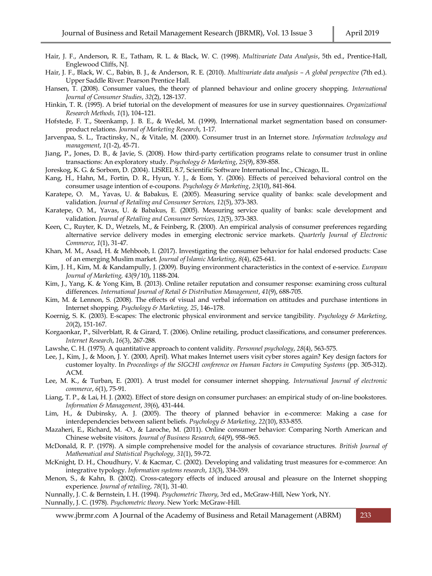- Hair, J. F., Anderson, R. E., Tatham, R. L. & Black, W. C. (1998). *Multivariate Data Analysis*, 5th ed., Prentice-Hall, Englewood Cliffs, NJ.
- Hair, J. F., Black, W. C., Babin, B. J., & Anderson, R. E. (2010). *Multivariate data analysis – A global perspective* (7th ed.). Upper Saddle River: Pearson Prentice Hall.
- Hansen, T. (2008). Consumer values, the theory of planned behaviour and online grocery shopping. *International Journal of Consumer Studies*, *32*(2), 128-137.
- Hinkin, T. R. (1995). A brief tutorial on the development of measures for use in survey questionnaires. *Organizational Research Methods, 1*(1), 104–121.
- Hofstede, F. T., Steenkamp, J. B. E., & Wedel, M. (1999). International market segmentation based on consumerproduct relations. *Journal of Marketing Research*, 1-17.
- Jarvenpaa, S. L., Tractinsky, N., & Vitale, M. (2000). Consumer trust in an Internet store. *Information technology and management*, *1*(1-2), 45-71.
- Jiang, P., Jones, D. B., & Javie, S. (2008). How third‐party certification programs relate to consumer trust in online transactions: An exploratory study. *Psychology & Marketing*, *25*(9), 839-858.
- Joreskog, K. G. & Sorbom, D. (2004). LISREL 8.7, Scientific Software International Inc., Chicago, IL.
- Kang, H., Hahn, M., Fortin, D. R., Hyun, Y. J., & Eom, Y. (2006). Effects of perceived behavioral control on the consumer usage intention of e‐coupons. *Psychology & Marketing*, *23*(10), 841-864.
- Karatepe, O. M., Yavas, U. & Babakus, E. (2005). Measuring service quality of banks: scale development and validation. *Journal of Retailing and Consumer Services, 12*(5), 373-383.
- Karatepe, O. M., Yavas, U. & Babakus, E. (2005). Measuring service quality of banks: scale development and validation. *Journal of Retailing and Consumer Services, 12*(5), 373-383.
- Keen, C., Ruyter, K. D., Wetzels, M., & Feinberg, R. (2000). An empirical analysis of consumer preferences regarding alternative service delivery modes in emerging electronic service markets. *Quarterly Journal of Electronic Commerce*, *1*(1), 31-47.
- Khan, M. M., Asad, H. & Mehboob, I. (2017). Investigating the consumer behavior for halal endorsed products: Case of an emerging Muslim market. *Journal of Islamic Marketing*, *8*(4), 625-641.
- Kim, J. H., Kim, M. & Kandampully, J. (2009). Buying environment characteristics in the context of e-service. *European Journal of Marketing, 43*(9/10), 1188-204.
- Kim, J., Yang, K. & Yong Kim, B. (2013). Online retailer reputation and consumer response: examining cross cultural differences. *International Journal of Retail & Distribution Management*, *41*(9), 688-705.
- Kim, M. & Lennon, S. (2008). The effects of visual and verbal information on attitudes and purchase intentions in Internet shopping. *Psychology & Marketing, 25*, 146–178.
- Koernig, S. K. (2003). E‐scapes: The electronic physical environment and service tangibility. *Psychology & Marketing*, *20*(2), 151-167.
- Korgaonkar, P., Silverblatt, R. & Girard, T. (2006). Online retailing, product classifications, and consumer preferences. *Internet Research*, *16*(3), 267-288.
- Lawshe, C. H. (1975). A quantitative approach to content validity. *Personnel psychology*, *28*(4), 563-575.
- Lee, J., Kim, J., & Moon, J. Y. (2000, April). What makes Internet users visit cyber stores again? Key design factors for customer loyalty. In *Proceedings of the SIGCHI conference on Human Factors in Computing Systems* (pp. 305-312). ACM.
- Lee, M. K., & Turban, E. (2001). A trust model for consumer internet shopping. *International Journal of electronic commerce*, *6*(1), 75-91.
- Liang, T. P., & Lai, H. J. (2002). Effect of store design on consumer purchases: an empirical study of on-line bookstores. *Information & Management*, *39*(6), 431-444.
- Lim, H., & Dubinsky, A. J. (2005). The theory of planned behavior in e‐commerce: Making a case for interdependencies between salient beliefs. *Psychology & Marketing*, *22*(10), 833-855.
- Mazaheri, E., Richard, M. -O., & Laroche, M. (2011). Online consumer behavior: Comparing North American and Chinese website visitors. *Journal of Business Research, 64*(9), 958–965.
- McDonald, R. P. (1978). A simple comprehensive model for the analysis of covariance structures. *British Journal of Mathematical and Statistical Psychology, 31*(1), 59-72.
- McKnight, D. H., Choudhury, V. & Kacmar, C. (2002). Developing and validating trust measures for e-commerce: An integrative typology. *Information systems research*, *13*(3), 334-359.
- Menon, S., & Kahn, B. (2002). Cross-category effects of induced arousal and pleasure on the Internet shopping experience. *Journal of retailing*, *78*(1), 31-40.

Nunnally, J. C. & Bernstein, I. H. (1994). *Psychometric Theory*, 3rd ed., McGraw-Hill, New York, NY.

Nunnally, J. C. (1978). *Psychometric theory*. New York: McGraw-Hill.